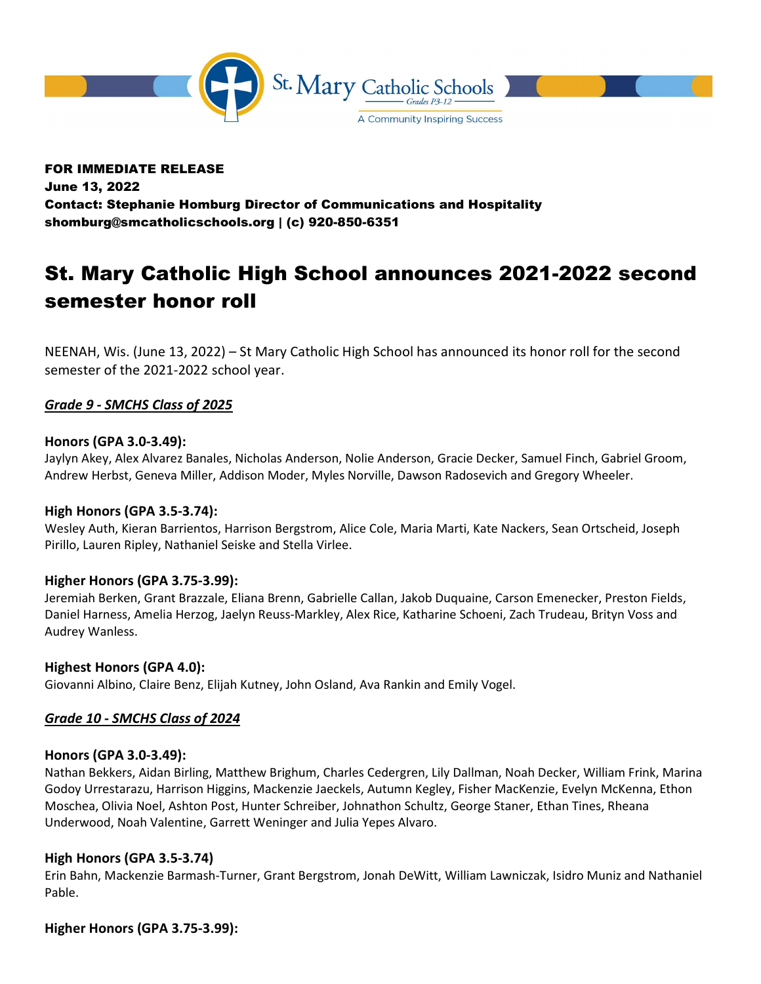

# FOR IMMEDIATE RELEASE June 13, 2022 Contact: Stephanie Homburg Director of Communications and Hospitality shomburg@smcatholicschools.org | (c) 920-850-6351

# St. Mary Catholic High School announces 2021-2022 second semester honor roll

NEENAH, Wis. (June 13, 2022) – St Mary Catholic High School has announced its honor roll for the second semester of the 2021-2022 school year.

# Grade 9 - SMCHS Class of 2025

## Honors (GPA 3.0-3.49):

Jaylyn Akey, Alex Alvarez Banales, Nicholas Anderson, Nolie Anderson, Gracie Decker, Samuel Finch, Gabriel Groom, Andrew Herbst, Geneva Miller, Addison Moder, Myles Norville, Dawson Radosevich and Gregory Wheeler.

## High Honors (GPA 3.5-3.74):

Wesley Auth, Kieran Barrientos, Harrison Bergstrom, Alice Cole, Maria Marti, Kate Nackers, Sean Ortscheid, Joseph Pirillo, Lauren Ripley, Nathaniel Seiske and Stella Virlee.

## Higher Honors (GPA 3.75-3.99):

Jeremiah Berken, Grant Brazzale, Eliana Brenn, Gabrielle Callan, Jakob Duquaine, Carson Emenecker, Preston Fields, Daniel Harness, Amelia Herzog, Jaelyn Reuss-Markley, Alex Rice, Katharine Schoeni, Zach Trudeau, Brityn Voss and Audrey Wanless.

## Highest Honors (GPA 4.0):

Giovanni Albino, Claire Benz, Elijah Kutney, John Osland, Ava Rankin and Emily Vogel.

# Grade 10 - SMCHS Class of 2024

## Honors (GPA 3.0-3.49):

Nathan Bekkers, Aidan Birling, Matthew Brighum, Charles Cedergren, Lily Dallman, Noah Decker, William Frink, Marina Godoy Urrestarazu, Harrison Higgins, Mackenzie Jaeckels, Autumn Kegley, Fisher MacKenzie, Evelyn McKenna, Ethon Moschea, Olivia Noel, Ashton Post, Hunter Schreiber, Johnathon Schultz, George Staner, Ethan Tines, Rheana Underwood, Noah Valentine, Garrett Weninger and Julia Yepes Alvaro.

## High Honors (GPA 3.5-3.74)

Erin Bahn, Mackenzie Barmash-Turner, Grant Bergstrom, Jonah DeWitt, William Lawniczak, Isidro Muniz and Nathaniel Pable.

## Higher Honors (GPA 3.75-3.99):